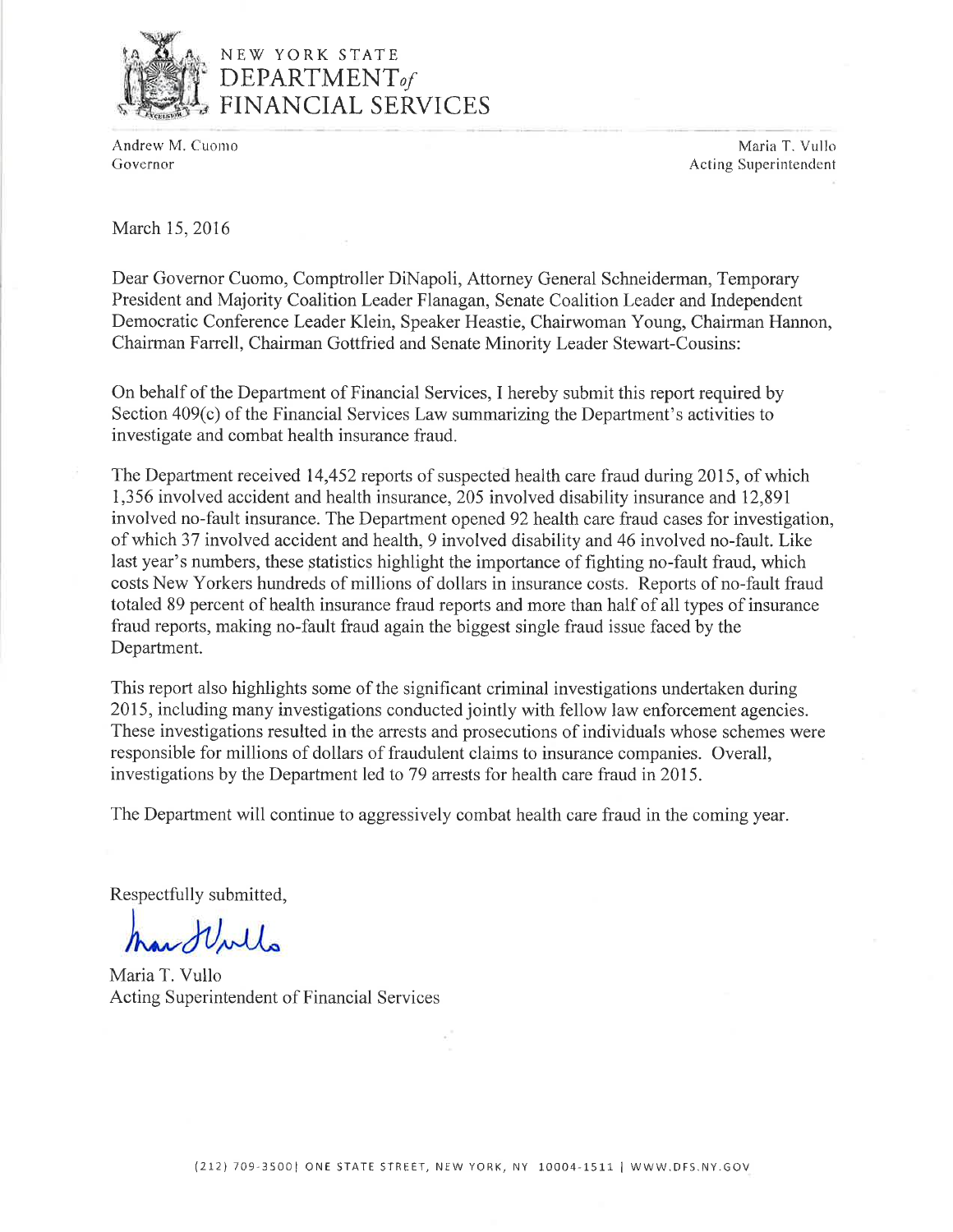

# NEW YORK STATE **DEPARTMENT**<sub>of</sub><br>FINANCIAL SERVICES

Andrew M. Cuomo Governor

Maria T. Vullo Acting Superintendent

March 15, 2016

Dear Governor Cuomo, Comptroller DiNapoli, Attorney General Schneiderman, Temporary President and Majority Coalition Leader Flanagan, Senate Coalition Leader and Independent Democratic Conference Leader Klein, Speaker Heastie, Chairwoman Young, Chairman Hannon, Chairman Farrell, Chairman Gottfried and Senate Minority Leader Stewart-Cousins:

On behalf of the Department of Financial Services, I hereby submit this report required by Section 409(c) of the Financial Services Law summarizing the Department's activities to investigate and combat health insurance fraud.

The Department received 14,452 reports of suspected health care fraud during 2015, of which 1,356 involved accident and health insurance, 205 involved disability insurance and 12,891 involved no-fault insurance. The Department opened 92 health care fraud cases for investigation, of which 37 involved accident and health, 9 involved disability and 46 involved no-fault. Like last year's numbers, these statistics highlight the importance of fighting no-fault fraud, which costs New Yorkers hundreds of millions of dollars in insurance costs. Reports of no-fault fraud totaled 89 percent of health insurance fraud reports and more than half of all types of insurance fraud reports, making no-fault fraud again the biggest single fraud issue faced by the Department.

This report also highlights some of the significant criminal investigations undertaken during 2015, including many investigations conducted jointly with fellow law enforcement agencies. These investigations resulted in the arrests and prosecutions of individuals whose schemes were responsible for millions of dollars of fraudulent claims to insurance companies. Overall, investigations by the Department led to 79 arrests for health care fraud in 2015.

The Department will continue to aggressively combat health care fraud in the coming year.

Respectfully submitted,

North

Maria T. Vullo Acting Superintendent of Financial Services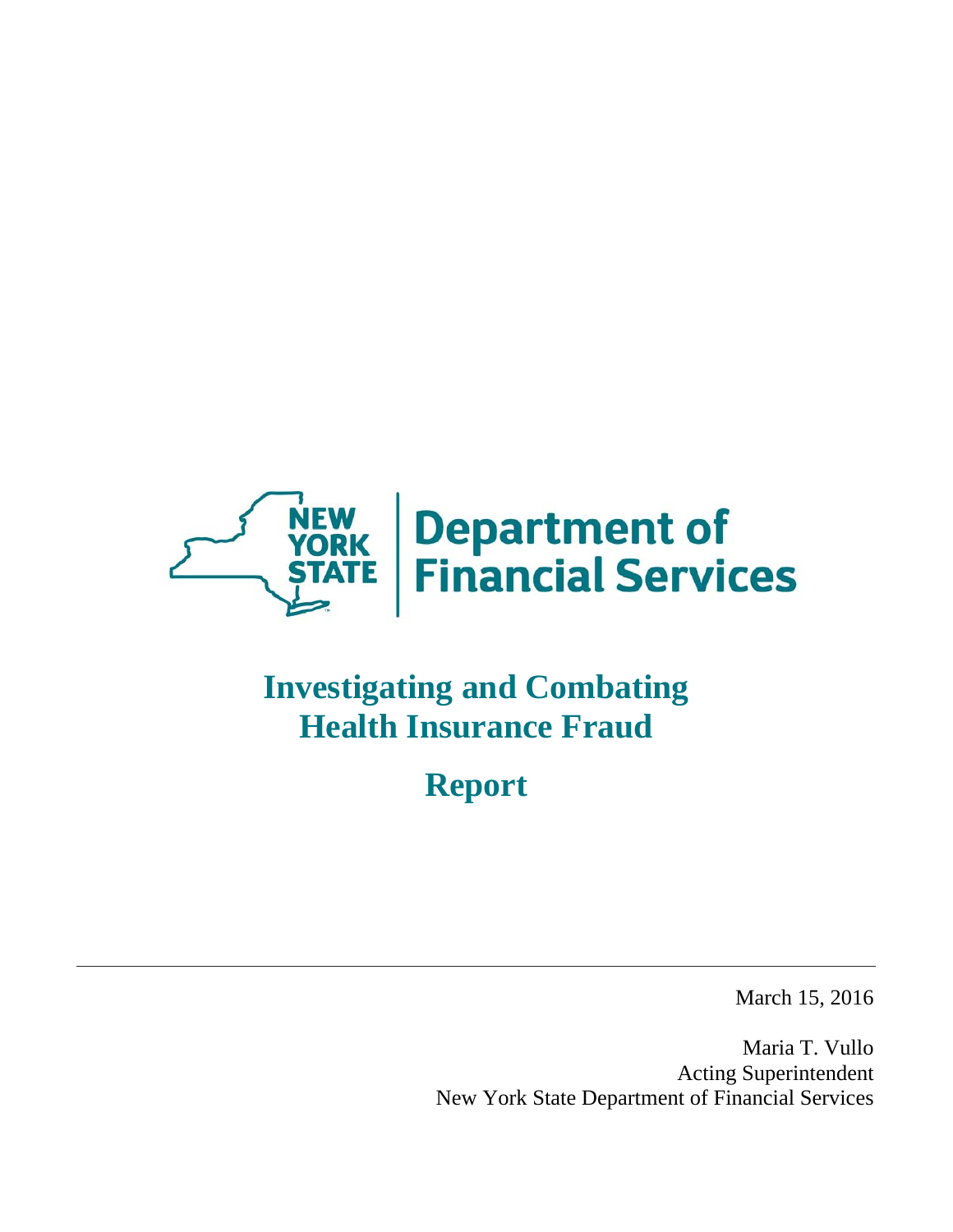

# **Investigating and Combating Health Insurance Fraud**

**Report** 

March 15, 2016

Maria T. Vullo Acting Superintendent New York State Department of Financial Services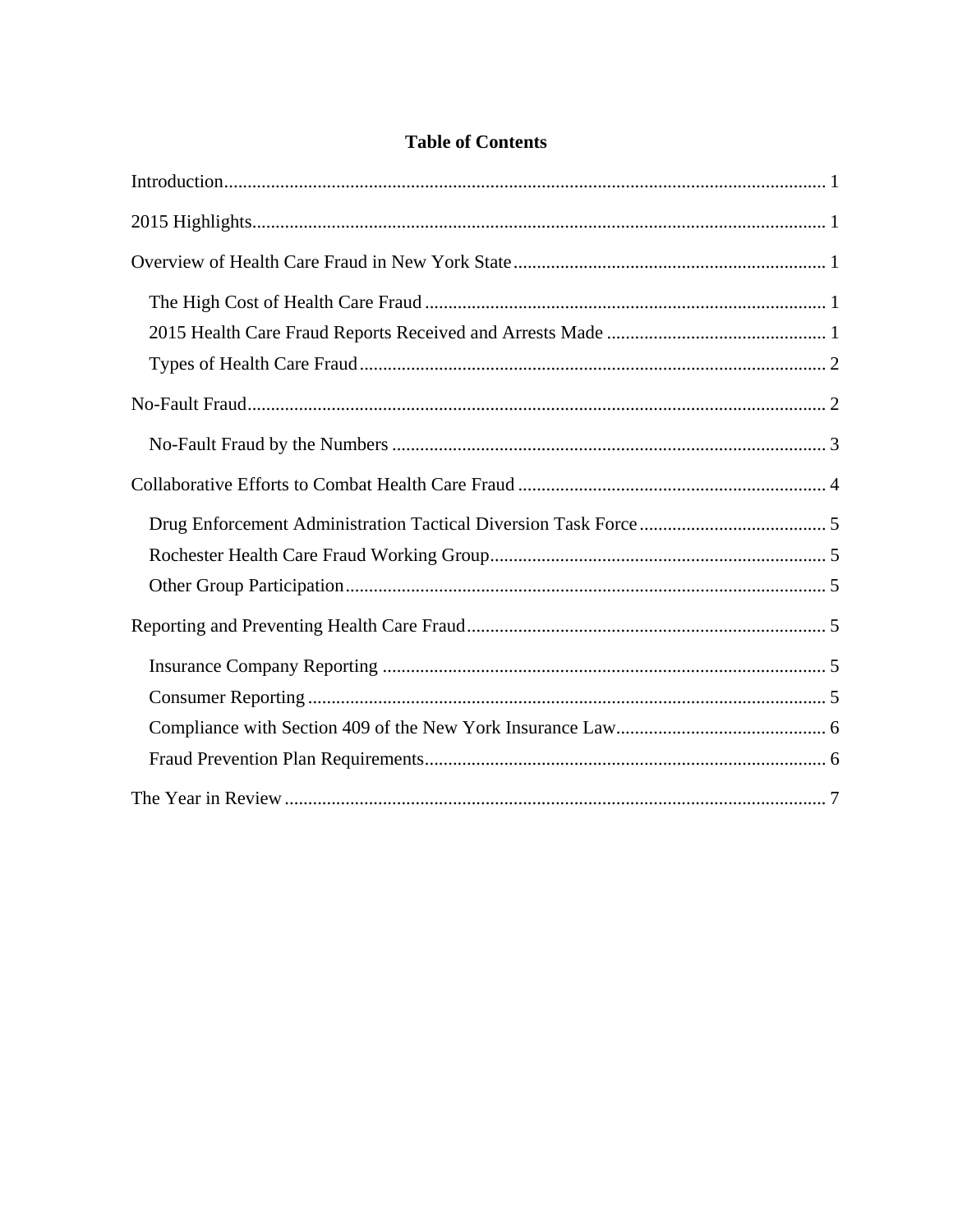# **Table of Contents**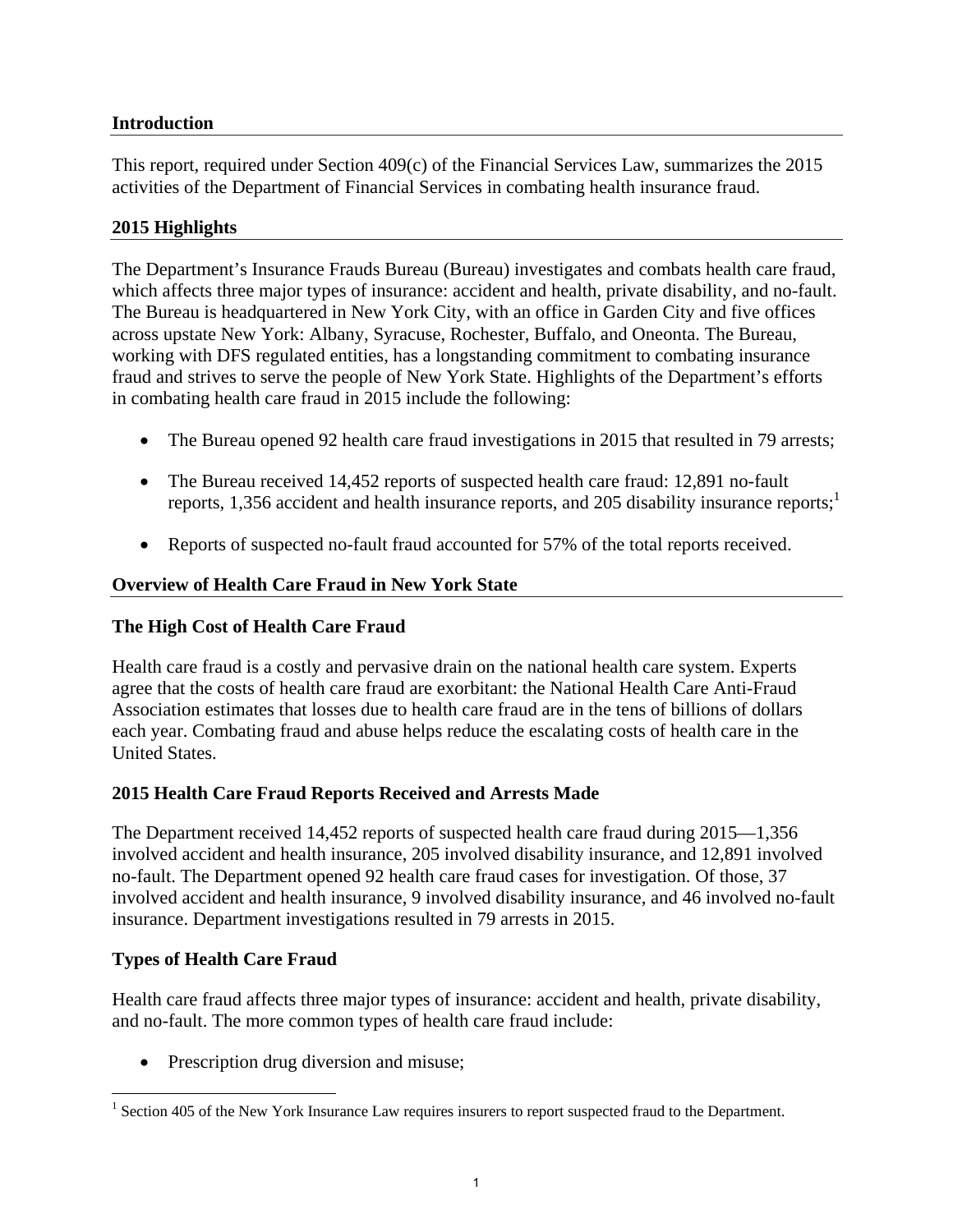# **Introduction**

This report, required under Section 409(c) of the Financial Services Law, summarizes the 2015 activities of the Department of Financial Services in combating health insurance fraud.

## **2015 Highlights**

The Department's Insurance Frauds Bureau (Bureau) investigates and combats health care fraud, which affects three major types of insurance: accident and health, private disability, and no-fault. The Bureau is headquartered in New York City, with an office in Garden City and five offices across upstate New York: Albany, Syracuse, Rochester, Buffalo, and Oneonta. The Bureau, working with DFS regulated entities, has a longstanding commitment to combating insurance fraud and strives to serve the people of New York State. Highlights of the Department's efforts in combating health care fraud in 2015 include the following:

- The Bureau opened 92 health care fraud investigations in 2015 that resulted in 79 arrests;
- The Bureau received 14,452 reports of suspected health care fraud: 12,891 no-fault reports, 1,356 accident and health insurance reports, and 205 disability insurance reports;<sup>1</sup>
- Reports of suspected no-fault fraud accounted for 57% of the total reports received.

### **Overview of Health Care Fraud in New York State**

### **The High Cost of Health Care Fraud**

Health care fraud is a costly and pervasive drain on the national health care system. Experts agree that the costs of health care fraud are exorbitant: the National Health Care Anti-Fraud Association estimates that losses due to health care fraud are in the tens of billions of dollars each year. Combating fraud and abuse helps reduce the escalating costs of health care in the United States.

### **2015 Health Care Fraud Reports Received and Arrests Made**

The Department received 14,452 reports of suspected health care fraud during 2015—1,356 involved accident and health insurance, 205 involved disability insurance, and 12,891 involved no-fault. The Department opened 92 health care fraud cases for investigation. Of those, 37 involved accident and health insurance, 9 involved disability insurance, and 46 involved no-fault insurance. Department investigations resulted in 79 arrests in 2015.

### **Types of Health Care Fraud**

 $\overline{a}$ 

Health care fraud affects three major types of insurance: accident and health, private disability, and no-fault. The more common types of health care fraud include:

• Prescription drug diversion and misuse;

<sup>&</sup>lt;sup>1</sup> Section 405 of the New York Insurance Law requires insurers to report suspected fraud to the Department.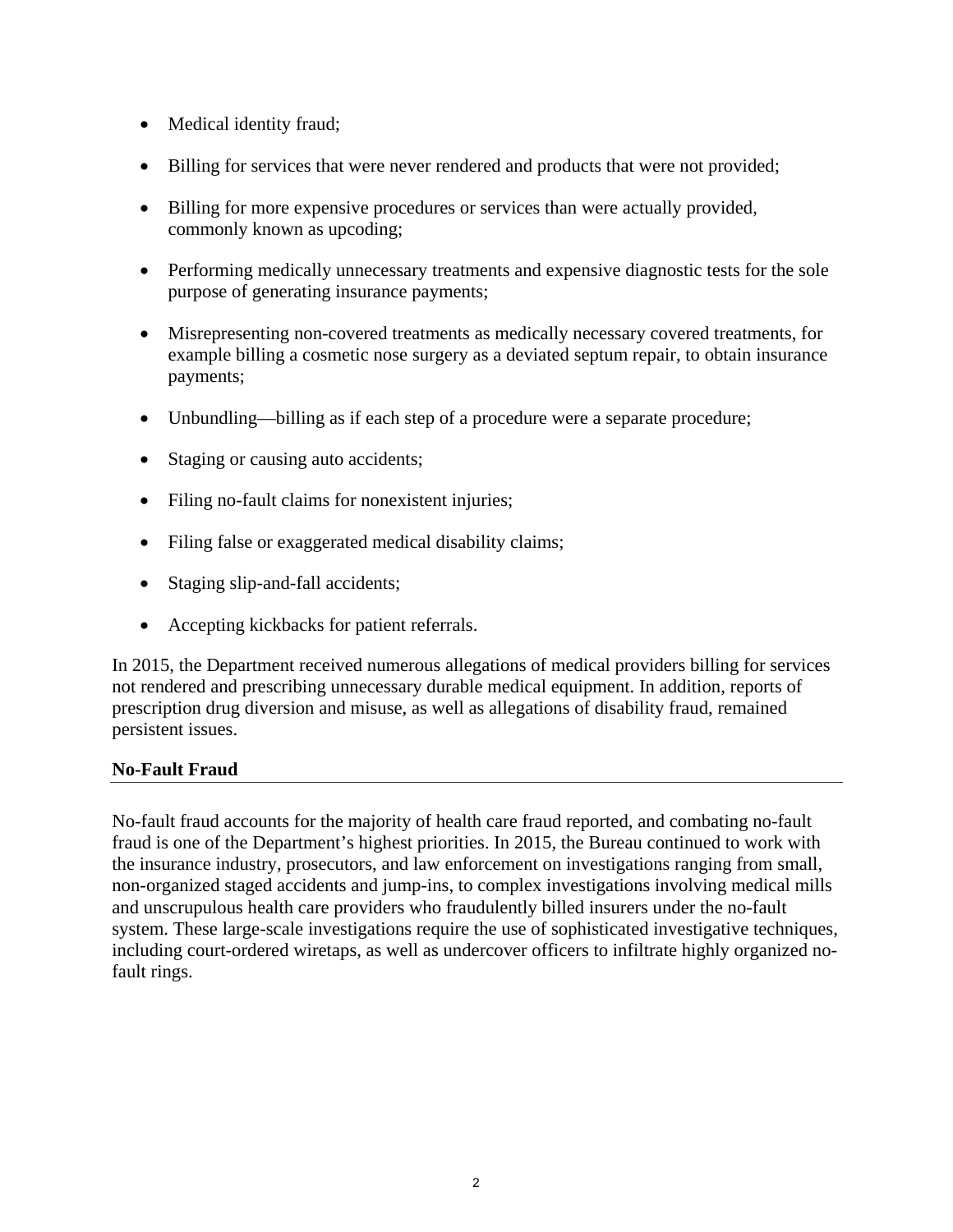- Medical identity fraud;
- Billing for services that were never rendered and products that were not provided;
- Billing for more expensive procedures or services than were actually provided, commonly known as upcoding;
- Performing medically unnecessary treatments and expensive diagnostic tests for the sole purpose of generating insurance payments;
- Misrepresenting non-covered treatments as medically necessary covered treatments, for example billing a cosmetic nose surgery as a deviated septum repair, to obtain insurance payments;
- Unbundling—billing as if each step of a procedure were a separate procedure;
- Staging or causing auto accidents;
- Filing no-fault claims for nonexistent injuries;
- Filing false or exaggerated medical disability claims;
- Staging slip-and-fall accidents;
- Accepting kickbacks for patient referrals.

In 2015, the Department received numerous allegations of medical providers billing for services not rendered and prescribing unnecessary durable medical equipment. In addition, reports of prescription drug diversion and misuse, as well as allegations of disability fraud, remained persistent issues.

# **No-Fault Fraud**

No-fault fraud accounts for the majority of health care fraud reported, and combating no-fault fraud is one of the Department's highest priorities. In 2015, the Bureau continued to work with the insurance industry, prosecutors, and law enforcement on investigations ranging from small, non-organized staged accidents and jump-ins, to complex investigations involving medical mills and unscrupulous health care providers who fraudulently billed insurers under the no-fault system. These large-scale investigations require the use of sophisticated investigative techniques, including court-ordered wiretaps, as well as undercover officers to infiltrate highly organized nofault rings.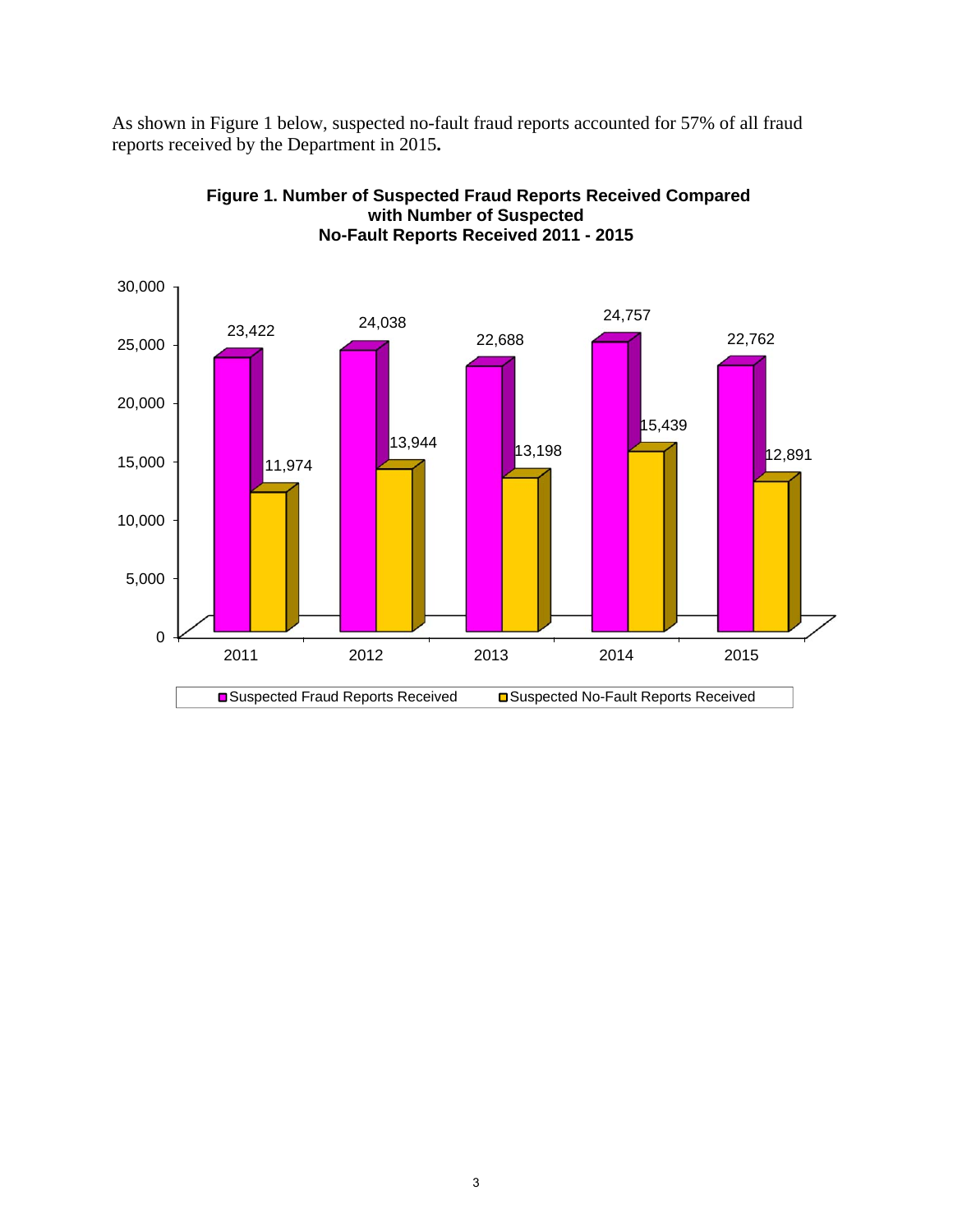As shown in Figure 1 below, suspected no-fault fraud reports accounted for 57% of all fraud reports received by the Department in 2015**.** 



**Figure 1. Number of Suspected Fraud Reports Received Compared with Number of Suspected No-Fault Reports Received 2011 - 2015**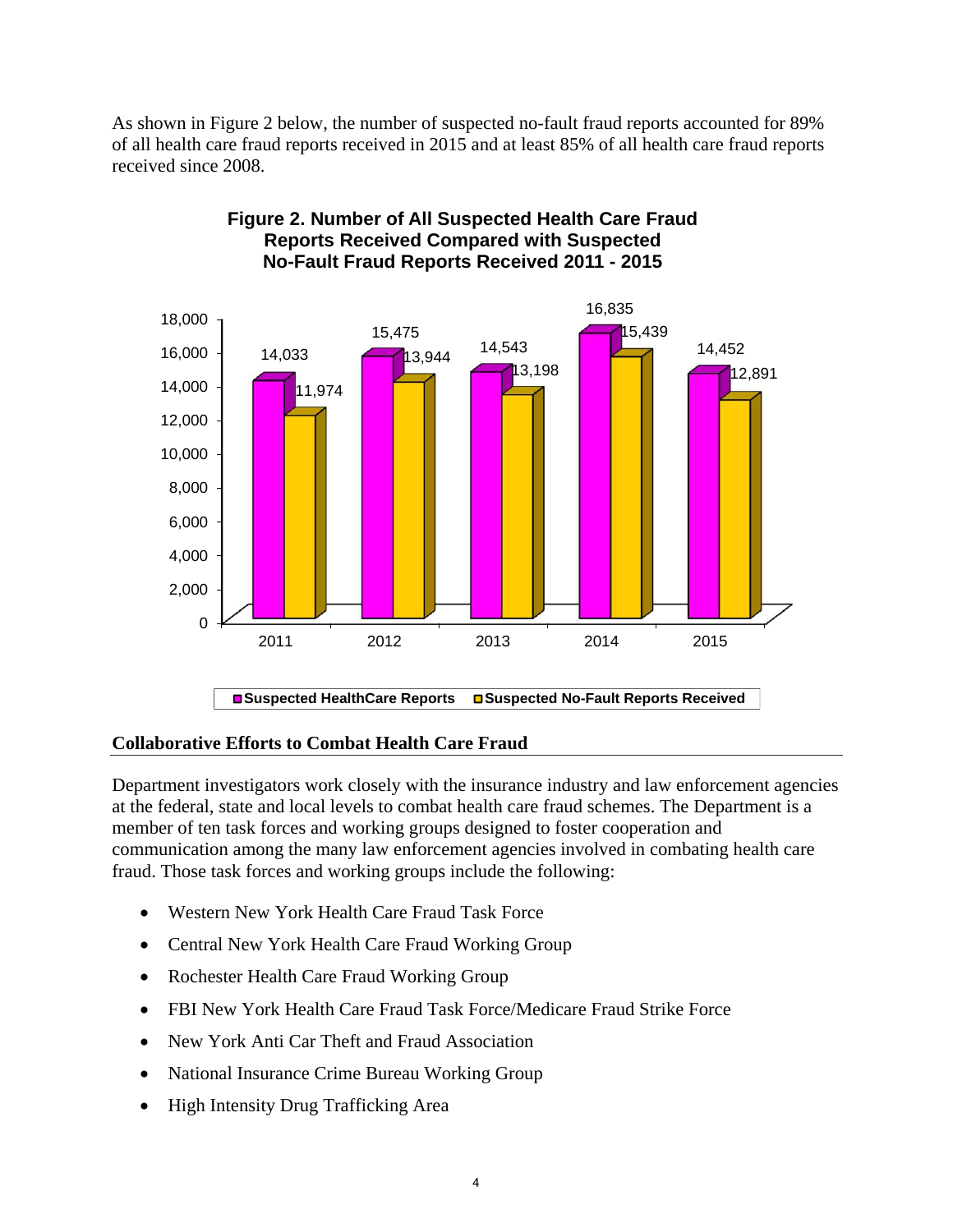As shown in Figure 2 below, the number of suspected no-fault fraud reports accounted for 89% of all health care fraud reports received in 2015 and at least 85% of all health care fraud reports received since 2008.



# **Figure 2. Number of All Suspected Health Care Fraud Reports Received Compared with Suspected No-Fault Fraud Reports Received 2011 - 2015**

### **Collaborative Efforts to Combat Health Care Fraud**

Department investigators work closely with the insurance industry and law enforcement agencies at the federal, state and local levels to combat health care fraud schemes. The Department is a member of ten task forces and working groups designed to foster cooperation and communication among the many law enforcement agencies involved in combating health care fraud. Those task forces and working groups include the following:

- Western New York Health Care Fraud Task Force
- Central New York Health Care Fraud Working Group
- Rochester Health Care Fraud Working Group
- FBI New York Health Care Fraud Task Force/Medicare Fraud Strike Force
- New York Anti Car Theft and Fraud Association
- National Insurance Crime Bureau Working Group
- High Intensity Drug Trafficking Area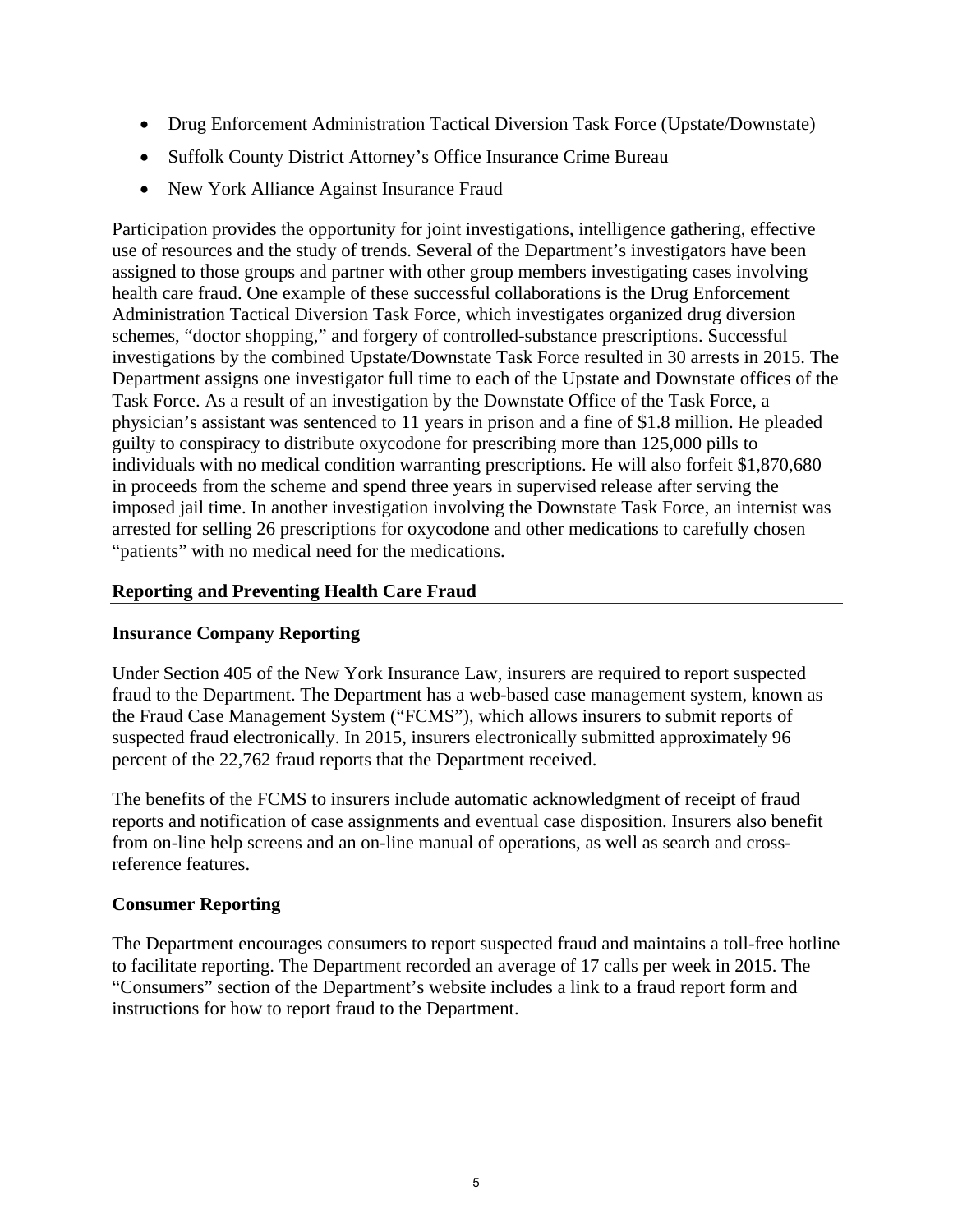- Drug Enforcement Administration Tactical Diversion Task Force (Upstate/Downstate)
- Suffolk County District Attorney's Office Insurance Crime Bureau
- New York Alliance Against Insurance Fraud

Participation provides the opportunity for joint investigations, intelligence gathering, effective use of resources and the study of trends. Several of the Department's investigators have been assigned to those groups and partner with other group members investigating cases involving health care fraud. One example of these successful collaborations is the Drug Enforcement Administration Tactical Diversion Task Force, which investigates organized drug diversion schemes, "doctor shopping," and forgery of controlled-substance prescriptions. Successful investigations by the combined Upstate/Downstate Task Force resulted in 30 arrests in 2015. The Department assigns one investigator full time to each of the Upstate and Downstate offices of the Task Force. As a result of an investigation by the Downstate Office of the Task Force, a physician's assistant was sentenced to 11 years in prison and a fine of \$1.8 million. He pleaded guilty to conspiracy to distribute oxycodone for prescribing more than 125,000 pills to individuals with no medical condition warranting prescriptions. He will also forfeit \$1,870,680 in proceeds from the scheme and spend three years in supervised release after serving the imposed jail time. In another investigation involving the Downstate Task Force, an internist was arrested for selling 26 prescriptions for oxycodone and other medications to carefully chosen "patients" with no medical need for the medications.

# **Reporting and Preventing Health Care Fraud**

# **Insurance Company Reporting**

Under Section 405 of the New York Insurance Law, insurers are required to report suspected fraud to the Department. The Department has a web-based case management system, known as the Fraud Case Management System ("FCMS"), which allows insurers to submit reports of suspected fraud electronically. In 2015, insurers electronically submitted approximately 96 percent of the 22,762 fraud reports that the Department received.

The benefits of the FCMS to insurers include automatic acknowledgment of receipt of fraud reports and notification of case assignments and eventual case disposition. Insurers also benefit from on-line help screens and an on-line manual of operations, as well as search and crossreference features.

# **Consumer Reporting**

The Department encourages consumers to report suspected fraud and maintains a toll-free hotline to facilitate reporting. The Department recorded an average of 17 calls per week in 2015. The "Consumers" section of the Department's website includes a link to a fraud report form and instructions for how to report fraud to the Department.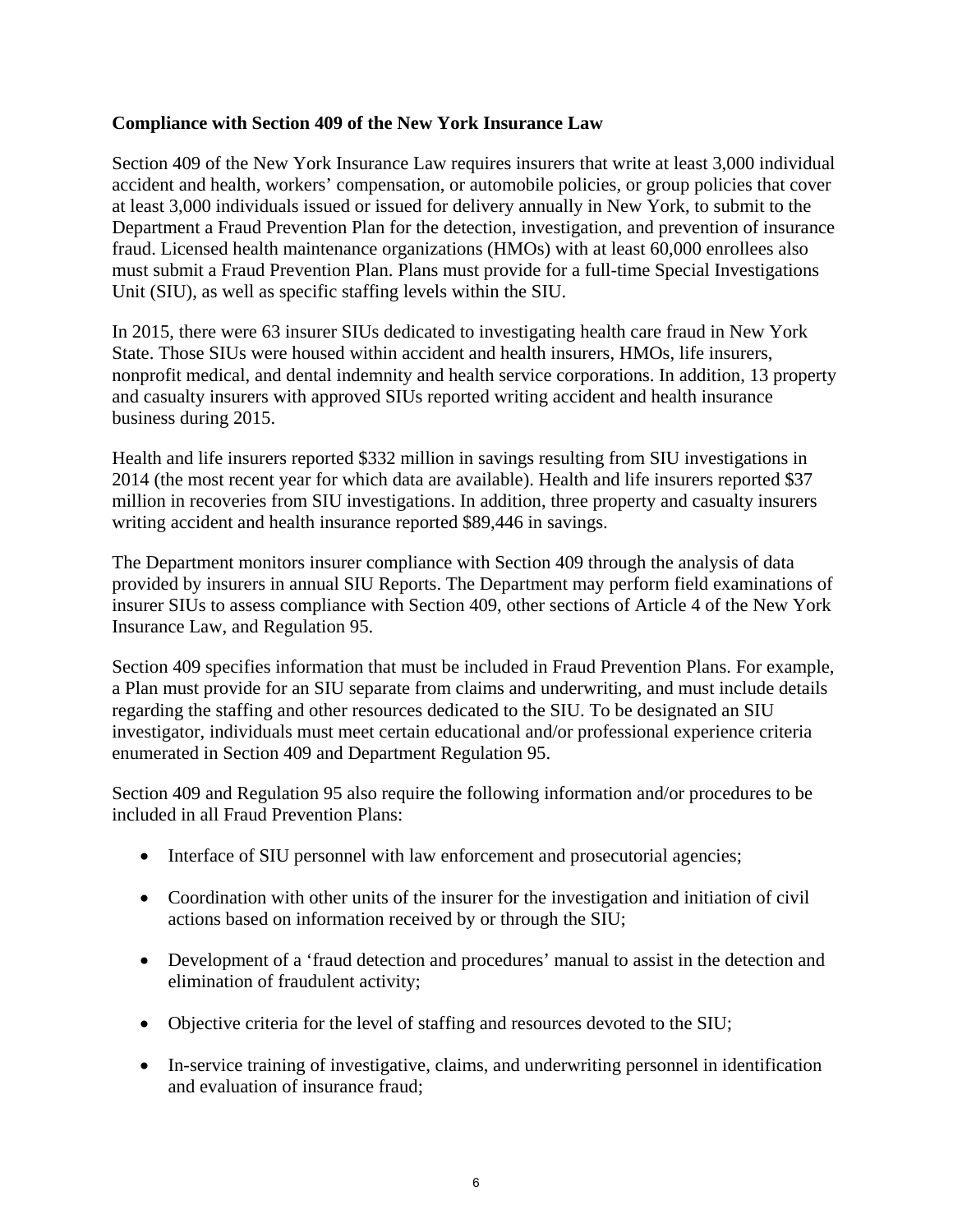# **Compliance with Section 409 of the New York Insurance Law**

Section 409 of the New York Insurance Law requires insurers that write at least 3,000 individual accident and health, workers' compensation, or automobile policies, or group policies that cover at least 3,000 individuals issued or issued for delivery annually in New York, to submit to the Department a Fraud Prevention Plan for the detection, investigation, and prevention of insurance fraud. Licensed health maintenance organizations (HMOs) with at least 60,000 enrollees also must submit a Fraud Prevention Plan. Plans must provide for a full-time Special Investigations Unit (SIU), as well as specific staffing levels within the SIU.

In 2015, there were 63 insurer SIUs dedicated to investigating health care fraud in New York State. Those SIUs were housed within accident and health insurers, HMOs, life insurers, nonprofit medical, and dental indemnity and health service corporations. In addition, 13 property and casualty insurers with approved SIUs reported writing accident and health insurance business during 2015.

Health and life insurers reported \$332 million in savings resulting from SIU investigations in 2014 (the most recent year for which data are available). Health and life insurers reported \$37 million in recoveries from SIU investigations. In addition, three property and casualty insurers writing accident and health insurance reported \$89,446 in savings.

The Department monitors insurer compliance with Section 409 through the analysis of data provided by insurers in annual SIU Reports. The Department may perform field examinations of insurer SIUs to assess compliance with Section 409, other sections of Article 4 of the New York Insurance Law, and Regulation 95.

Section 409 specifies information that must be included in Fraud Prevention Plans. For example, a Plan must provide for an SIU separate from claims and underwriting, and must include details regarding the staffing and other resources dedicated to the SIU. To be designated an SIU investigator, individuals must meet certain educational and/or professional experience criteria enumerated in Section 409 and Department Regulation 95.

Section 409 and Regulation 95 also require the following information and/or procedures to be included in all Fraud Prevention Plans:

- Interface of SIU personnel with law enforcement and prosecutorial agencies;
- Coordination with other units of the insurer for the investigation and initiation of civil actions based on information received by or through the SIU;
- Development of a 'fraud detection and procedures' manual to assist in the detection and elimination of fraudulent activity;
- Objective criteria for the level of staffing and resources devoted to the SIU;
- In-service training of investigative, claims, and underwriting personnel in identification and evaluation of insurance fraud;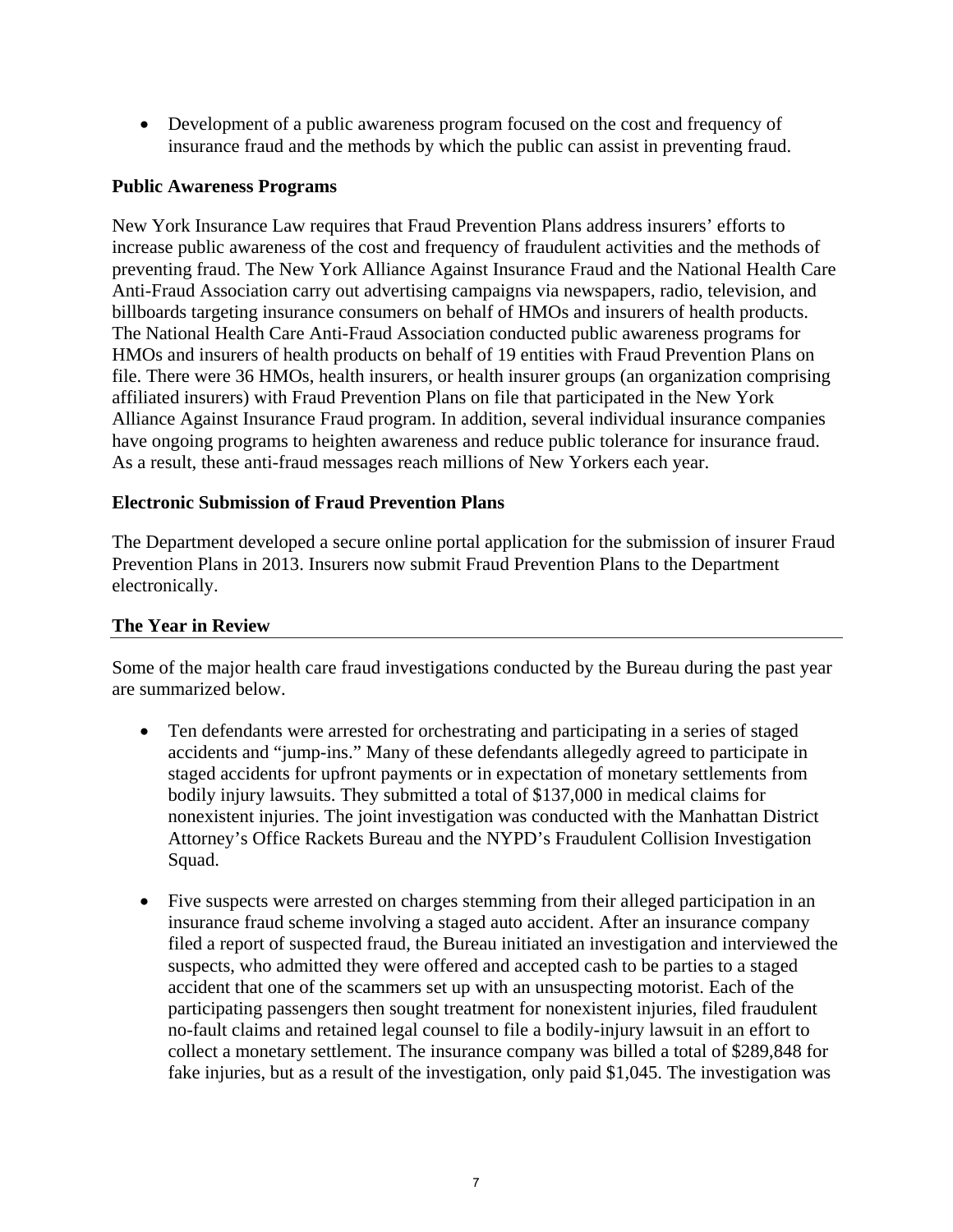Development of a public awareness program focused on the cost and frequency of insurance fraud and the methods by which the public can assist in preventing fraud.

## **Public Awareness Programs**

New York Insurance Law requires that Fraud Prevention Plans address insurers' efforts to increase public awareness of the cost and frequency of fraudulent activities and the methods of preventing fraud. The New York Alliance Against Insurance Fraud and the National Health Care Anti-Fraud Association carry out advertising campaigns via newspapers, radio, television, and billboards targeting insurance consumers on behalf of HMOs and insurers of health products. The National Health Care Anti-Fraud Association conducted public awareness programs for HMOs and insurers of health products on behalf of 19 entities with Fraud Prevention Plans on file. There were 36 HMOs, health insurers, or health insurer groups (an organization comprising affiliated insurers) with Fraud Prevention Plans on file that participated in the New York Alliance Against Insurance Fraud program. In addition, several individual insurance companies have ongoing programs to heighten awareness and reduce public tolerance for insurance fraud. As a result, these anti-fraud messages reach millions of New Yorkers each year.

## **Electronic Submission of Fraud Prevention Plans**

The Department developed a secure online portal application for the submission of insurer Fraud Prevention Plans in 2013. Insurers now submit Fraud Prevention Plans to the Department electronically.

# **The Year in Review**

Some of the major health care fraud investigations conducted by the Bureau during the past year are summarized below.

- Ten defendants were arrested for orchestrating and participating in a series of staged accidents and "jump-ins." Many of these defendants allegedly agreed to participate in staged accidents for upfront payments or in expectation of monetary settlements from bodily injury lawsuits. They submitted a total of \$137,000 in medical claims for nonexistent injuries. The joint investigation was conducted with the Manhattan District Attorney's Office Rackets Bureau and the NYPD's Fraudulent Collision Investigation Squad.
- Five suspects were arrested on charges stemming from their alleged participation in an insurance fraud scheme involving a staged auto accident. After an insurance company filed a report of suspected fraud, the Bureau initiated an investigation and interviewed the suspects, who admitted they were offered and accepted cash to be parties to a staged accident that one of the scammers set up with an unsuspecting motorist. Each of the participating passengers then sought treatment for nonexistent injuries, filed fraudulent no-fault claims and retained legal counsel to file a bodily-injury lawsuit in an effort to collect a monetary settlement. The insurance company was billed a total of \$289,848 for fake injuries, but as a result of the investigation, only paid \$1,045. The investigation was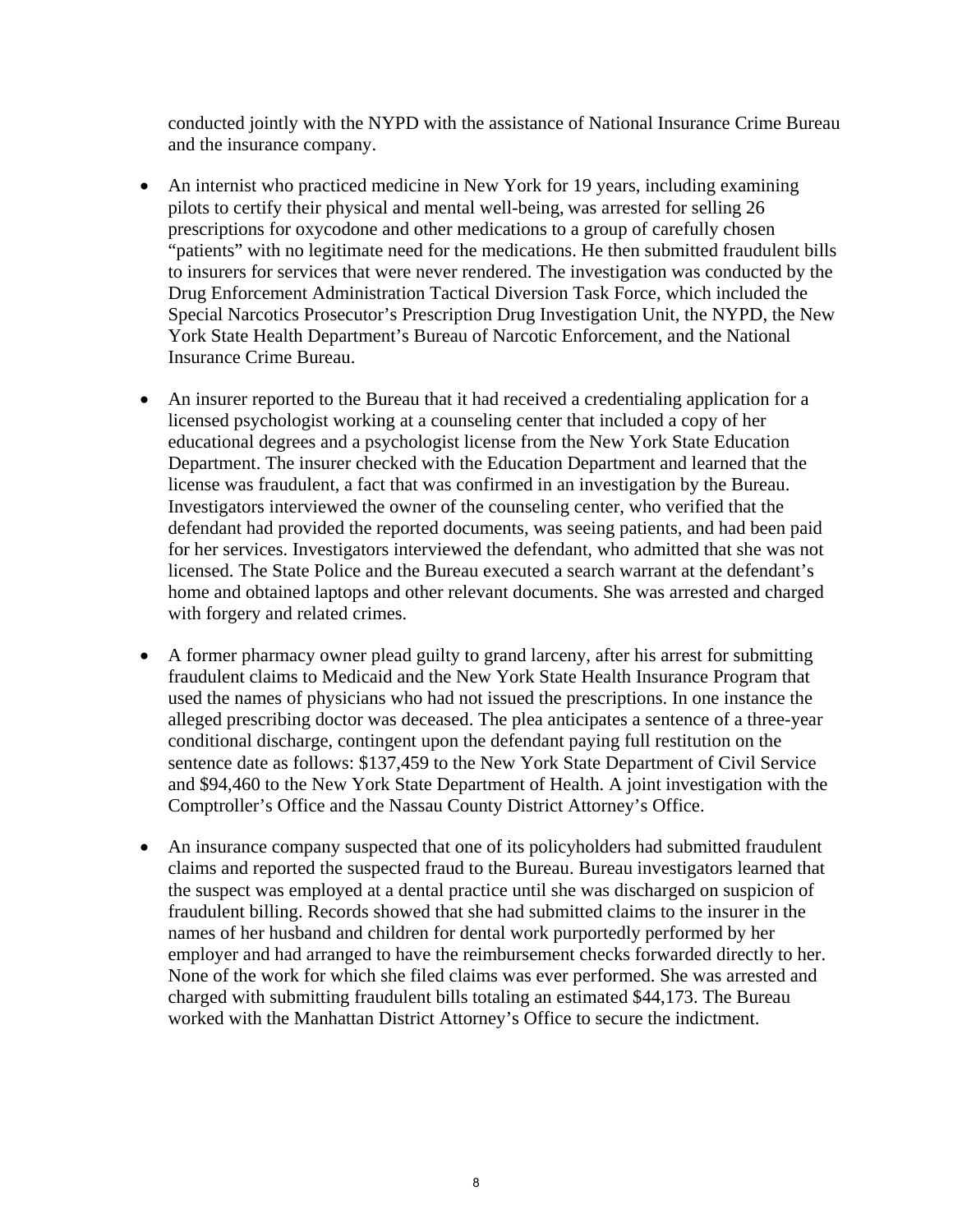conducted jointly with the NYPD with the assistance of National Insurance Crime Bureau and the insurance company.

- An internist who practiced medicine in New York for 19 years, including examining pilots to certify their physical and mental well-being, was arrested for selling 26 prescriptions for oxycodone and other medications to a group of carefully chosen "patients" with no legitimate need for the medications. He then submitted fraudulent bills to insurers for services that were never rendered. The investigation was conducted by the Drug Enforcement Administration Tactical Diversion Task Force, which included the Special Narcotics Prosecutor's Prescription Drug Investigation Unit, the NYPD, the New York State Health Department's Bureau of Narcotic Enforcement, and the National Insurance Crime Bureau.
- An insurer reported to the Bureau that it had received a credentialing application for a licensed psychologist working at a counseling center that included a copy of her educational degrees and a psychologist license from the New York State Education Department. The insurer checked with the Education Department and learned that the license was fraudulent, a fact that was confirmed in an investigation by the Bureau. Investigators interviewed the owner of the counseling center, who verified that the defendant had provided the reported documents, was seeing patients, and had been paid for her services. Investigators interviewed the defendant, who admitted that she was not licensed. The State Police and the Bureau executed a search warrant at the defendant's home and obtained laptops and other relevant documents. She was arrested and charged with forgery and related crimes.
- A former pharmacy owner plead guilty to grand larceny, after his arrest for submitting fraudulent claims to Medicaid and the New York State Health Insurance Program that used the names of physicians who had not issued the prescriptions. In one instance the alleged prescribing doctor was deceased. The plea anticipates a sentence of a three-year conditional discharge, contingent upon the defendant paying full restitution on the sentence date as follows: \$137,459 to the New York State Department of Civil Service and \$94,460 to the New York State Department of Health. A joint investigation with the Comptroller's Office and the Nassau County District Attorney's Office.
- An insurance company suspected that one of its policyholders had submitted fraudulent claims and reported the suspected fraud to the Bureau. Bureau investigators learned that the suspect was employed at a dental practice until she was discharged on suspicion of fraudulent billing. Records showed that she had submitted claims to the insurer in the names of her husband and children for dental work purportedly performed by her employer and had arranged to have the reimbursement checks forwarded directly to her. None of the work for which she filed claims was ever performed. She was arrested and charged with submitting fraudulent bills totaling an estimated \$44,173. The Bureau worked with the Manhattan District Attorney's Office to secure the indictment.